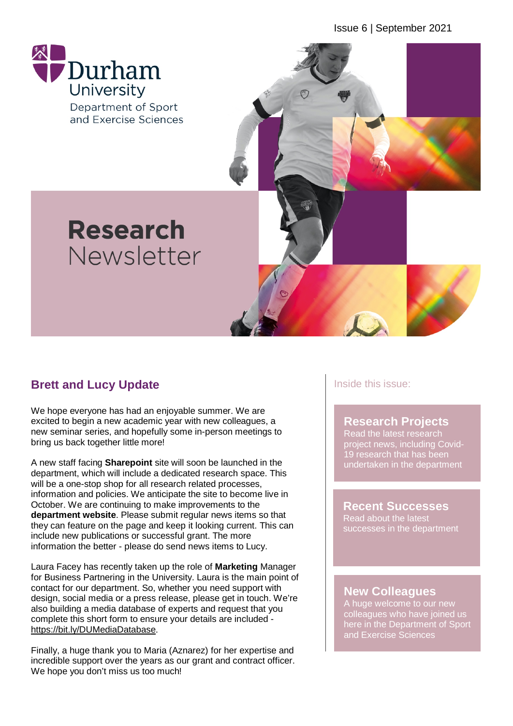Issue 6 | September 2021



# **Brett and Lucy Update**

We hope everyone has had an enjoyable summer. We are excited to begin a new academic year with new colleagues, a new seminar series, and hopefully some in-person meetings to bring us back together little more!

A new staff facing **Sharepoint** site will soon be launched in the department, which will include a dedicated research space. This will be a one-stop shop for all research related processes, information and policies. We anticipate the site to become live in October. We are continuing to make improvements to the **department website**. Please submit regular news items so that they can feature on the page and keep it looking current. This can include new publications or successful grant. The more information the better - please do send news items to Lucy.

Laura Facey has recently taken up the role of **Marketing** Manager for Business Partnering in the University. Laura is the main point of contact for our department. So, whether you need support with design, social media or a press release, please get in touch. We're also building a media database of experts and request that you complete this short form to ensure your details are included [https://bit.ly/DUMediaDatabase.](https://bit.ly/DUMediaDatabase)

Finally, a huge thank you to Maria (Aznarez) for her expertise and incredible support over the years as our grant and contract officer. We hope you don't miss us too much!

### Inside this issue:

### **Research Projects**

Read the latest research project news, including Covid-19 research that has been undertaken in the department

**Recent Successes** Read about the latest successes in the department

### **New Colleagues**

A huge welcome to our new colleagues who have joined us here in the Department of Sport and Exercise Sciences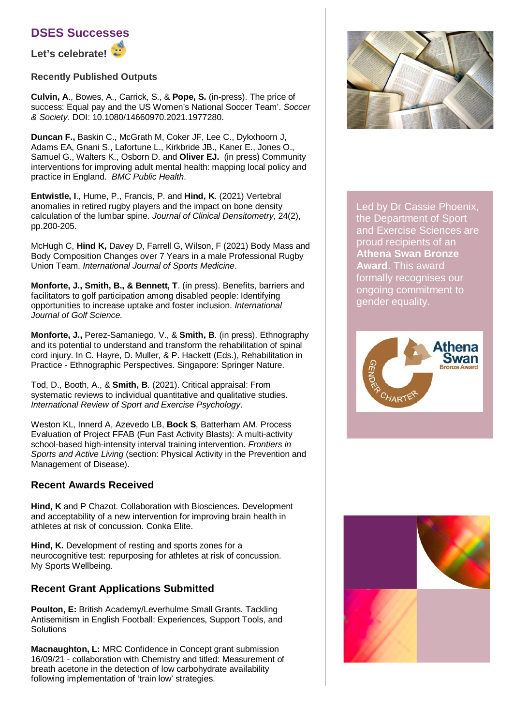

**Let's celebrate!**

#### **Recently Published Outputs**

**Culvin, A**., Bowes, A., Carrick, S., & **Pope, S.** (in-press). The price of success: Equal pay and the US Women's National Soccer Team'. *Soccer & Society*. DOI: 10.1080/14660970.2021.1977280.

**Duncan F.,** Baskin C., McGrath M, Coker JF, Lee C., Dykxhoorn J, Adams EA, Gnani S., Lafortune L., Kirkbride JB., Kaner E., Jones O., Samuel G., Walters K., Osborn D. and **Oliver EJ.** (in press) Community interventions for improving adult mental health: mapping local policy and practice in England. *BMC Public Health*.

**Entwistle, I**., Hume, P., Francis, P. and **Hind, K**. (2021) Vertebral anomalies in retired rugby players and the impact on bone density calculation of the lumbar spine. *Journal of Clinical Densitometry*, 24(2), pp.200-205.

McHugh C, **Hind K,** Davey D, Farrell G, Wilson, F (2021) Body Mass and Body Composition Changes over 7 Years in a male Professional Rugby Union Team. *International Journal of Sports Medicine*.

**Monforte, J., Smith, B., & Bennett, T**. (in press). Benefits, barriers and facilitators to golf participation among disabled people: Identifying opportunities to increase uptake and foster inclusion. *International Journal of Golf Science.*

**Monforte, J.,** Perez-Samaniego, V., & **Smith, B**. (in press). Ethnography and its potential to understand and transform the rehabilitation of spinal cord injury. In C. Hayre, D. Muller, & P. Hackett (Eds.), Rehabilitation in Practice - Ethnographic Perspectives. Singapore: Springer Nature.

Tod, D., Booth, A., & **Smith, B**. (2021). Critical appraisal: From systematic reviews to individual quantitative and qualitative studies. *International Review of Sport and Exercise Psychology*.

Weston KL, Innerd A, Azevedo LB, **Bock S**, Batterham AM. Process Evaluation of Project FFAB (Fun Fast Activity Blasts): A multi-activity school-based high-intensity interval training intervention. *Frontiers in Sports and Active Living* (section: Physical Activity in the Prevention and Management of Disease).

### **Recent Awards Received**

**Hind, K** and P Chazot. Collaboration with Biosciences. Development and acceptability of a new intervention for improving brain health in athletes at risk of concussion. Conka Elite.

**Hind, K.** Development of resting and sports zones for a neurocognitive test: repurposing for athletes at risk of concussion. My Sports Wellbeing.

## **Recent Grant Applications Submitted**

**Poulton, E:** British Academy/Leverhulme Small Grants. Tackling Antisemitism in English Football: Experiences, Support Tools, and Solutions

**Macnaughton, L:** MRC Confidence in Concept grant submission 16/09/21 - collaboration with Chemistry and titled: Measurement of breath acetone in the detection of low carbohydrate availability following implementation of 'train low' strategies.



Led by Dr Cassie Phoenix, the Department of Sport and Exercise Sciences are proud recipients of an **Athena Swan Bronze Award**. This award formally recognises our ongoing commitment to gender equality.



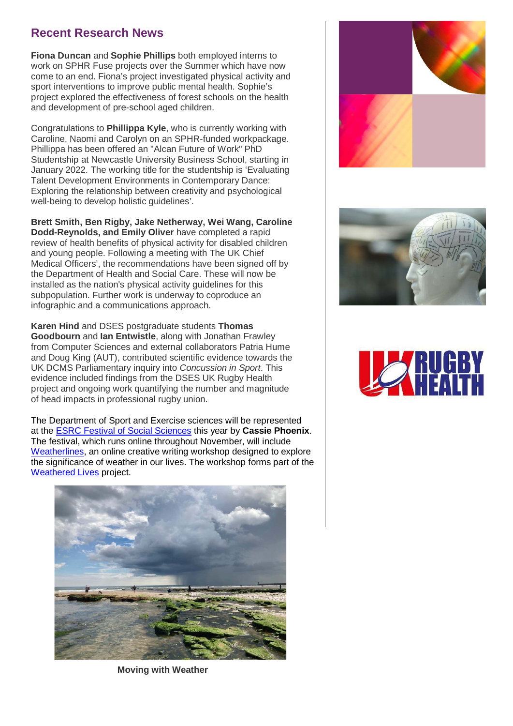# **Recent Research News**

**Fiona Duncan** and **Sophie Phillips** both employed interns to work on SPHR Fuse projects over the Summer which have now come to an end. Fiona's project investigated physical activity and sport interventions to improve public mental health. Sophie's project explored the effectiveness of forest schools on the health and development of pre-school aged children.

Congratulations to **Phillippa Kyle**, who is currently working with Caroline, Naomi and Carolyn on an SPHR-funded workpackage. Phillippa has been offered an "Alcan Future of Work" PhD Studentship at Newcastle University Business School, starting in January 2022. The working title for the studentship is 'Evaluating Talent Development Environments in Contemporary Dance: Exploring the relationship between creativity and psychological well-being to develop holistic guidelines'.

**Brett Smith, Ben Rigby, Jake Netherway, Wei Wang, Caroline Dodd-Reynolds, and Emily Oliver** have completed a rapid review of health benefits of physical activity for disabled children and young people. Following a meeting with The UK Chief Medical Officers', the recommendations have been signed off by the Department of Health and Social Care. These will now be installed as the nation's physical activity guidelines for this subpopulation. Further work is underway to coproduce an infographic and a communications approach.

**Karen Hind** and DSES postgraduate students **Thomas Goodbourn** and **Ian Entwistle**, along with Jonathan Frawley from Computer Sciences and external collaborators Patria Hume and Doug King (AUT), contributed scientific evidence towards the UK DCMS Parliamentary inquiry into *Concussion in Sport*. This evidence included findings from the DSES UK Rugby Health project and ongoing work quantifying the number and magnitude of head impacts in professional rugby union.

The Department of Sport and Exercise sciences will be represented at the [ESRC Festival of Social Sciences](https://festivalofsocialscience.com/) this year by **Cassie Phoenix**. The festival, which runs online throughout November, will include [Weatherlines,](https://www.eventbrite.com/e/weatherlines-tickets-173530693977) an online creative writing workshop designed to explore the significance of weather in our lives. The workshop forms part of the Weathered Lives project.









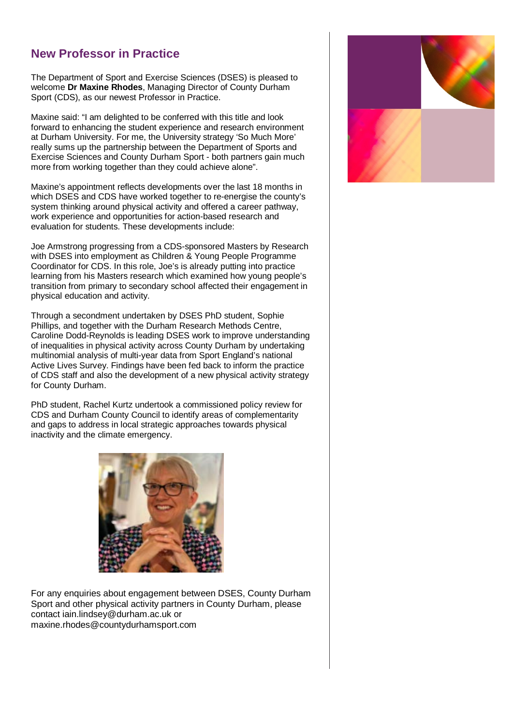# **New Professor in Practice**

The Department of Sport and Exercise Sciences (DSES) is pleased to welcome **Dr Maxine Rhodes**, Managing Director of County Durham Sport (CDS), as our newest Professor in Practice.

Maxine said: "I am delighted to be conferred with this title and look forward to enhancing the student experience and research environment at Durham University. For me, the University strategy 'So Much More' really sums up the partnership between the Department of Sports and Exercise Sciences and County Durham Sport - both partners gain much more from working together than they could achieve alone".

Maxine's appointment reflects developments over the last 18 months in which DSES and CDS have worked together to re-energise the county's system thinking around physical activity and offered a career pathway, work experience and opportunities for action-based research and evaluation for students. These developments include:

Joe Armstrong progressing from a CDS-sponsored Masters by Research with DSES into employment as Children & Young People Programme Coordinator for CDS. In this role, Joe's is already putting into practice learning from his Masters research which examined how young people's transition from primary to secondary school affected their engagement in physical education and activity.

Through a secondment undertaken by DSES PhD student, Sophie Phillips, and together with the Durham Research Methods Centre, Caroline Dodd-Reynolds is leading DSES work to improve understanding of inequalities in physical activity across County Durham by undertaking multinomial analysis of multi-year data from Sport England's national Active Lives Survey. Findings have been fed back to inform the practice of CDS staff and also the development of a new physical activity strategy for County Durham.

PhD student, Rachel Kurtz undertook a commissioned policy review for CDS and Durham County Council to identify areas of complementarity and gaps to address in local strategic approaches towards physical inactivity and the climate emergency.



For any enquiries about engagement between DSES, County Durham Sport and other physical activity partners in County Durham, please contact iain.lindsey@durham.ac.uk or maxine.rhodes@countydurhamsport.com

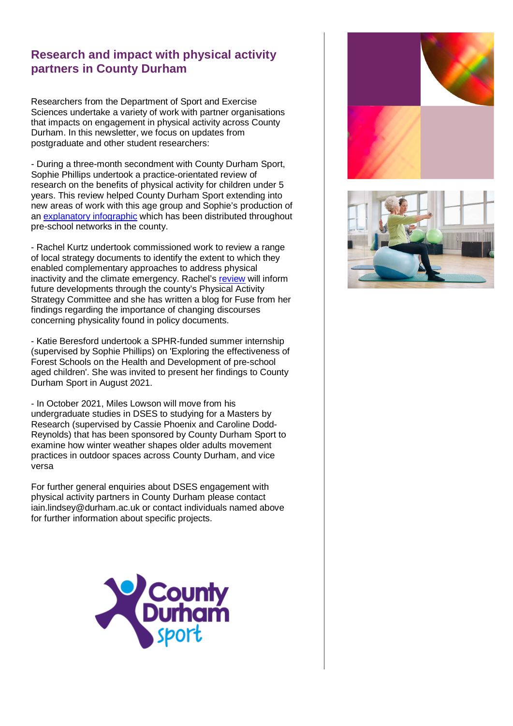# **Research and impact with physical activity partners in County Durham**

Researchers from the Department of Sport and Exercise Sciences undertake a variety of work with partner organisations that impacts on engagement in physical activity across County Durham. In this newsletter, we focus on updates from postgraduate and other student researchers:

- During a three-month secondment with County Durham Sport, Sophie Phillips undertook a practice-orientated review of research on the benefits of physical activity for children under 5 years. This review helped County Durham Sport extending into new areas of work with this age group and Sophie's production of an [explanatory](https://www.countydurhamsport.com/uncategorised/lets-get-little-ones-moving/) infographic which has been distributed throughout pre-school networks in the county.

- Rachel Kurtz undertook commissioned work to review a range of local strategy documents to identify the extent to which they enabled complementary approaches to address physical inactivity and the climate emergency. Rachel's [review](https://www.countydurhamsport.com/news/working-together-to-tackle-inactivity-and-the-climate-crisis/) will inform future developments through the county's Physical Activity Strategy Committee and she has written a blog for Fuse from her findings regarding the importance of changing discourses concerning physicality found in policy documents.

- Katie Beresford undertook a SPHR-funded summer internship (supervised by Sophie Phillips) on 'Exploring the effectiveness of Forest Schools on the Health and Development of pre-school aged children'. She was invited to present her findings to County Durham Sport in August 2021.

- In October 2021, Miles Lowson will move from his undergraduate studies in DSES to studying for a Masters by Research (supervised by Cassie Phoenix and Caroline Dodd-Reynolds) that has been sponsored by County Durham Sport to examine how winter weather shapes older adults movement practices in outdoor spaces across County Durham, and vice versa

For further general enquiries about DSES engagement with physical activity partners in County Durham please contact iain.lindsey@durham.ac.uk or contact individuals named above for further information about specific projects.





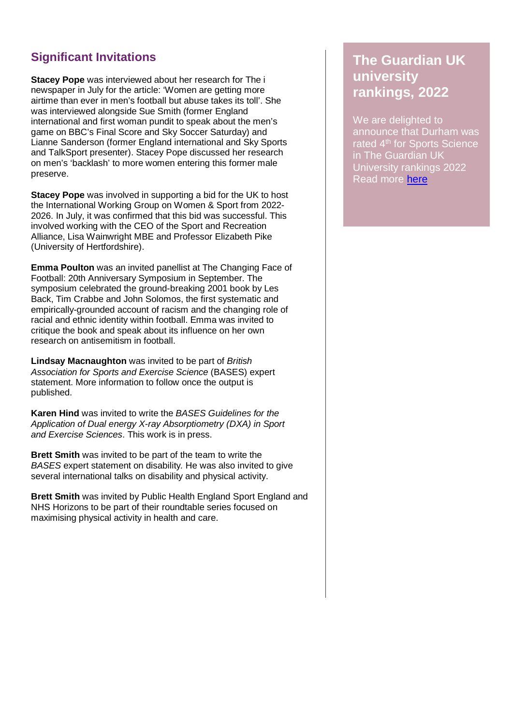# **Significant Invitations**

**Stacey Pope** was interviewed about her research for The i newspaper in July for the article: 'Women are getting more airtime than ever in men's football but abuse takes its toll'. She was interviewed alongside Sue Smith (former England international and first woman pundit to speak about the men's game on BBC's Final Score and Sky Soccer Saturday) and Lianne Sanderson (former England international and Sky Sports and TalkSport presenter). Stacey Pope discussed her research on men's 'backlash' to more women entering this former male preserve.

**Stacey Pope** was involved in supporting a bid for the UK to host the International Working Group on Women & Sport from 2022- 2026. In July, it was confirmed that this bid was successful. This involved working with the CEO of the Sport and Recreation Alliance, Lisa Wainwright MBE and Professor Elizabeth Pike (University of Hertfordshire).

**Emma Poulton** was an invited panellist at The Changing Face of Football: 20th Anniversary Symposium in September. The symposium celebrated the ground-breaking 2001 book by Les Back, Tim Crabbe and John Solomos, the first systematic and empirically-grounded account of racism and the changing role of racial and ethnic identity within football. Emma was invited to critique the book and speak about its influence on her own research on antisemitism in football.

**Lindsay Macnaughton** was invited to be part of *British Association for Sports and Exercise Science* (BASES) expert statement. More information to follow once the output is published.

**Karen Hind** was invited to write the *BASES Guidelines for the Application of Dual energy X-ray Absorptiometry (DXA) in Sport and Exercise Sciences*. This work is in press.

**Brett Smith** was invited to be part of the team to write the *BASES* expert statement on disability*.* He was also invited to give several international talks on disability and physical activity.

**Brett Smith** was invited by Public Health England Sport England and NHS Horizons to be part of their roundtable series focused on maximising physical activity in health and care.

# **The Guardian UK university rankings, 2022**

We are delighted to announce that Durham was rated 4<sup>th</sup> for Sports Science in The Guardian UK University rankings 2022 Read more [here](https://www.theguardian.com/education/ng-interactive/2021/sep/11/the-best-uk-universities-2022-rankings)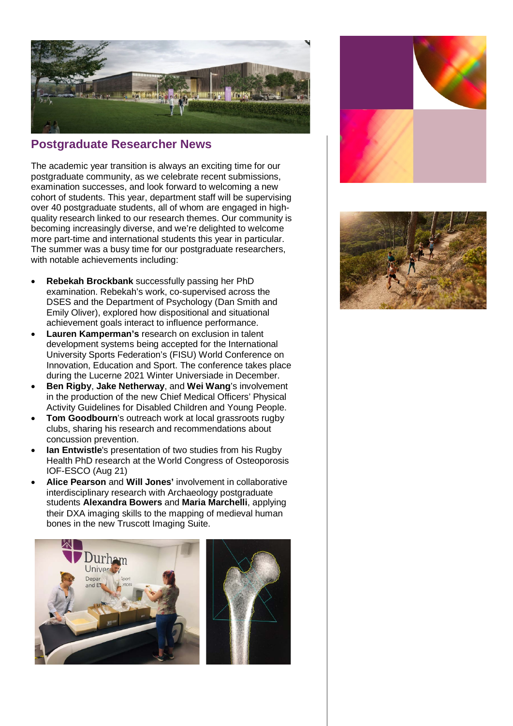

## **Postgraduate Researcher News**

The academic year transition is always an exciting time for our postgraduate community, as we celebrate recent submissions, examination successes, and look forward to welcoming a new cohort of students. This year, department staff will be supervising over 40 postgraduate students, all of whom are engaged in highquality research linked to our research themes. Our community is becoming increasingly diverse, and we're delighted to welcome more part-time and international students this year in particular. The summer was a busy time for our postgraduate researchers, with notable achievements including:

- **Rebekah Brockbank** successfully passing her PhD examination. Rebekah's work, co-supervised across the DSES and the Department of Psychology (Dan Smith and Emily Oliver), explored how dispositional and situational achievement goals interact to influence performance.
- **Lauren Kamperman's** research on exclusion in talent development systems being accepted for the International University Sports Federation's (FISU) World Conference on Innovation, Education and Sport. The conference takes place during the Lucerne 2021 Winter Universiade in December.
- **Ben Rigby**, **Jake Netherway**, and **Wei Wang**'s involvement in the production of the new Chief Medical Officers' Physical Activity Guidelines for Disabled Children and Young People.
- **Tom Goodbourn's outreach work at local grassroots rugby** clubs, sharing his research and recommendations about concussion prevention.
- **Ian Entwistle**'s presentation of two studies from his Rugby Health PhD research at the World Congress of Osteoporosis IOF-ESCO (Aug 21)
- **Alice Pearson** and **Will Jones'** involvement in collaborative interdisciplinary research with Archaeology postgraduate students **Alexandra Bowers** and **Maria Marchelli**, applying their DXA imaging skills to the mapping of medieval human bones in the new Truscott Imaging Suite.





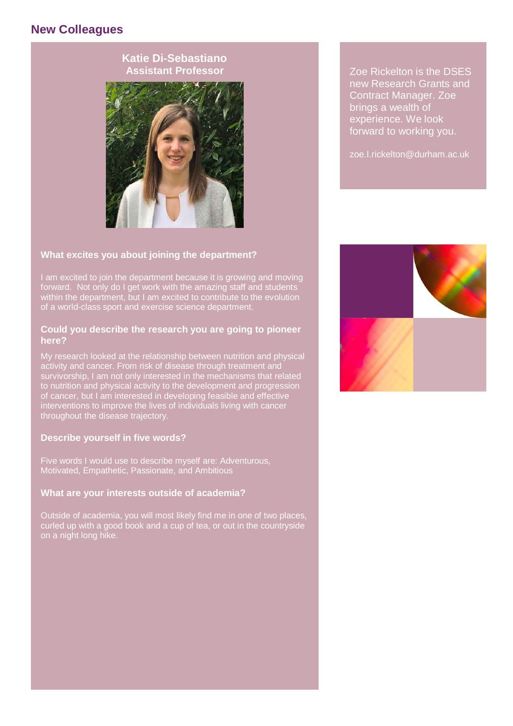# **New Colleagues**





Zoe Rickelton is the DSES new Research Grants and Contract Manager. Zoe brings a wealth of experience. We look forward to working you.

zoe.I.rickelton@durham.ac.uk

#### **What excites you about joining the department?**

I am excited to join the department because it is growing and moving forward. Not only do I get work with the amazing staff and students within the department, but I am excited to contribute to the evolution of a world-class sport and exercise science department.

#### **Could you describe the research you are going to pioneer here?**

My research looked at the relationship between nutrition and physical activity and cancer. From risk of disease through treatment and survivorship, I am not only interested in the mechanisms that related to nutrition and physical activity to the development and progression of cancer, but I am interested in developing feasible and effective interventions to improve the lives of individuals living with cancer throughout the disease trajectory.

#### **Describe yourself in five words?**

Five words I would use to describe myself are: Adventurous, Motivated, Empathetic, Passionate, and Ambitious

#### **What are your interests outside of academia?**

Outside of academia, you will most likely find me in one of two places, curled up with a good book and a cup of tea, or out in the countryside on a night long hike.

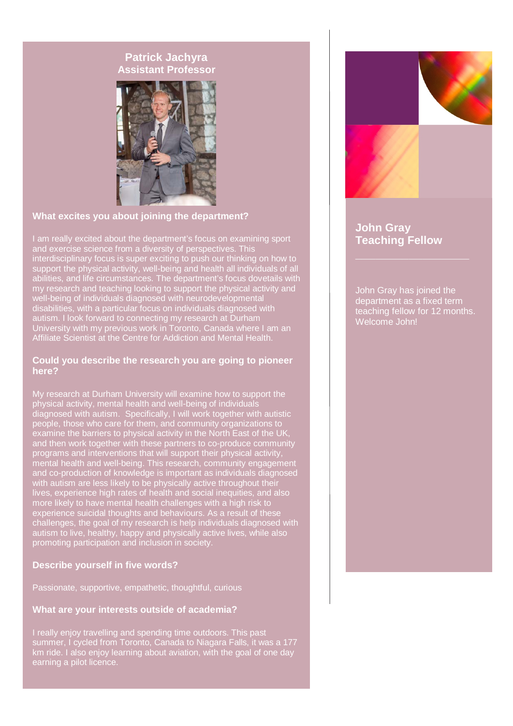## **Patrick Jachyra Assistant Professor**



### **What excites you about joining the department?**

I am really excited about the department's focus on examining sport and exercise science from a diversity of perspectives. This interdisciplinary focus is super exciting to push our thinking on how to support the physical activity, well-being and health all individuals of all abilities, and life circumstances. The department's focus dovetails with my research and teaching looking to support the physical activity and well-being of individuals diagnosed with neurodevelopmental disabilities, with a particular focus on individuals diagnosed with autism. I look forward to connecting my research at Durham University with my previous work in Toronto, Canada where I am an Affiliate Scientist at the Centre for Addiction and Mental Health.

#### **Could you describe the research you are going to pioneer here?**

My research at Durham University will examine how to support the physical activity, mental health and well-being of individuals diagnosed with autism. Specifically, I will work together with autistic people, those who care for them, and community organizations to examine the barriers to physical activity in the North East of the UK, and then work together with these partners to co-produce community programs and interventions that will support their physical activity, mental health and well-being. This research, community engagement and co-production of knowledge is important as individuals diagnosed with autism are less likely to be physically active throughout their lives, experience high rates of health and social inequities, and also more likely to have mental health challenges with a high risk to experience suicidal thoughts and behaviours. As a result of these challenges, the goal of my research is help individuals diagnosed with autism to live, healthy, happy and physically active lives, while also promoting participation and inclusion in society.

### **Describe yourself in five words?**

Passionate, supportive, empathetic, thoughtful, curious

#### **What are your interests outside of academia?**

I really enjoy travelling and spending time outdoors. This past summer, I cycled from Toronto, Canada to Niagara Falls, it was a 177 km ride. I also enjoy learning about aviation, with the goal of one day earning a pilot licence.



## **John Gray Teaching Fellow**

John Gray has joined the department as a fixed term teaching fellow for 12 months. Welcome John!